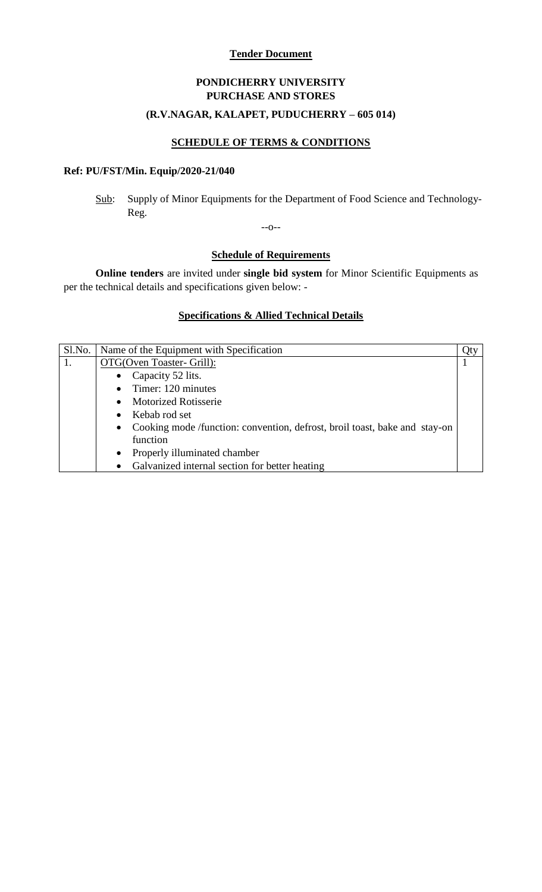#### **Tender Document**

# **PONDICHERRY UNIVERSITY PURCHASE AND STORES**

## **(R.V.NAGAR, KALAPET, PUDUCHERRY – 605 014)**

## **SCHEDULE OF TERMS & CONDITIONS**

## **Ref: PU/FST/Min. Equip/2020-21/040**

Sub: Supply of Minor Equipments for the Department of Food Science and Technology-Reg.

--o--

## **Schedule of Requirements**

**Online tenders** are invited under **single bid system** for Minor Scientific Equipments as per the technical details and specifications given below: -

### **Specifications & Allied Technical Details**

| Sl.No.   Name of the Equipment with Specification                                       |  |  |
|-----------------------------------------------------------------------------------------|--|--|
| OTG(Oven Toaster- Grill):                                                               |  |  |
| Capacity 52 lits.<br>$\bullet$                                                          |  |  |
| $\bullet$ Timer: 120 minutes                                                            |  |  |
| <b>Motorized Rotisserie</b><br>$\bullet$                                                |  |  |
| Kebab rod set<br>$\bullet$                                                              |  |  |
| Cooking mode /function: convention, defrost, broil toast, bake and stay-on<br>$\bullet$ |  |  |
| function                                                                                |  |  |
| Properly illuminated chamber<br>$\bullet$                                               |  |  |
| Galvanized internal section for better heating<br>$\bullet$                             |  |  |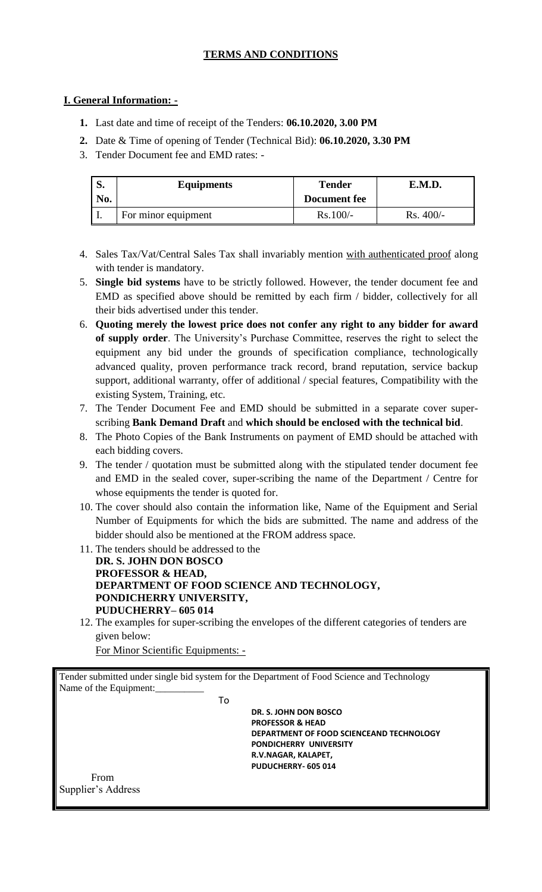## **TERMS AND CONDITIONS**

### **I. General Information: -**

- **1.** Last date and time of receipt of the Tenders: **06.10.2020, 3.00 PM**
- **2.** Date & Time of opening of Tender (Technical Bid): **06.10.2020, 3.30 PM**
- 3. Tender Document fee and EMD rates: -

| D.<br>No. | <b>Equipments</b>   | Tender<br>Document fee | E.M.D.     |
|-----------|---------------------|------------------------|------------|
|           | For minor equipment | $Rs.100/-$             | $Rs.400/-$ |

- 4. Sales Tax/Vat/Central Sales Tax shall invariably mention with authenticated proof along with tender is mandatory.
- 5. **Single bid systems** have to be strictly followed. However, the tender document fee and EMD as specified above should be remitted by each firm / bidder, collectively for all their bids advertised under this tender.
- 6. **Quoting merely the lowest price does not confer any right to any bidder for award of supply order**. The University's Purchase Committee, reserves the right to select the equipment any bid under the grounds of specification compliance, technologically advanced quality, proven performance track record, brand reputation, service backup support, additional warranty, offer of additional / special features, Compatibility with the existing System, Training, etc.
- 7. The Tender Document Fee and EMD should be submitted in a separate cover superscribing **Bank Demand Draft** and **which should be enclosed with the technical bid**.
- 8. The Photo Copies of the Bank Instruments on payment of EMD should be attached with each bidding covers.
- 9. The tender / quotation must be submitted along with the stipulated tender document fee and EMD in the sealed cover, super-scribing the name of the Department / Centre for whose equipments the tender is quoted for.
- 10. The cover should also contain the information like, Name of the Equipment and Serial Number of Equipments for which the bids are submitted. The name and address of the bidder should also be mentioned at the FROM address space.
- 11. The tenders should be addressed to the **DR. S. JOHN DON BOSCO PROFESSOR & HEAD, DEPARTMENT OF FOOD SCIENCE AND TECHNOLOGY, PONDICHERRY UNIVERSITY, PUDUCHERRY– 605 014**
- 12. The examples for super-scribing the envelopes of the different categories of tenders are given below:

For Minor Scientific Equipments: -

Tender submitted under single bid system for the Department of Food Science and Technology Name of the Equipment:

To

 **DR. S. JOHN DON BOSCO PROFESSOR & HEAD DEPARTMENT OF FOOD SCIENCEAND TECHNOLOGY PONDICHERRY UNIVERSITY R.V.NAGAR, KALAPET, PUDUCHERRY- 605 014**

From Supplier's Address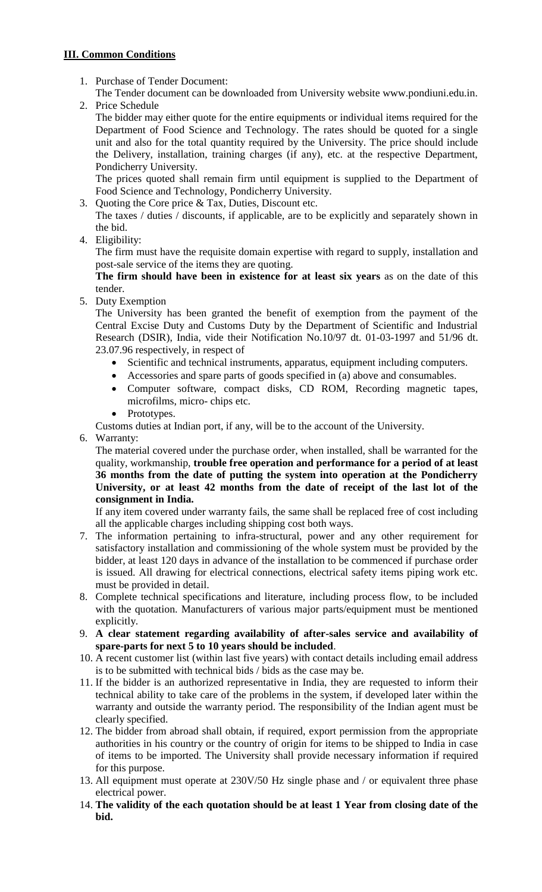## **III. Common Conditions**

1. Purchase of Tender Document:

The Tender document can be downloaded from University website www.pondiuni.edu.in. 2. Price Schedule

The bidder may either quote for the entire equipments or individual items required for the Department of Food Science and Technology. The rates should be quoted for a single unit and also for the total quantity required by the University. The price should include the Delivery, installation, training charges (if any), etc. at the respective Department, Pondicherry University.

The prices quoted shall remain firm until equipment is supplied to the Department of Food Science and Technology, Pondicherry University.

- 3. Quoting the Core price & Tax, Duties, Discount etc.
- The taxes / duties / discounts, if applicable, are to be explicitly and separately shown in the bid.
- 4. Eligibility:

The firm must have the requisite domain expertise with regard to supply, installation and post-sale service of the items they are quoting.

**The firm should have been in existence for at least six years** as on the date of this tender.

5. Duty Exemption

The University has been granted the benefit of exemption from the payment of the Central Excise Duty and Customs Duty by the Department of Scientific and Industrial Research (DSIR), India, vide their Notification No.10/97 dt. 01-03-1997 and 51/96 dt. 23.07.96 respectively, in respect of

- Scientific and technical instruments, apparatus, equipment including computers.
- Accessories and spare parts of goods specified in (a) above and consumables.
- Computer software, compact disks, CD ROM, Recording magnetic tapes, microfilms, micro- chips etc.
- Prototypes.

Customs duties at Indian port, if any, will be to the account of the University.

6. Warranty:

The material covered under the purchase order, when installed, shall be warranted for the quality, workmanship, **trouble free operation and performance for a period of at least 36 months from the date of putting the system into operation at the Pondicherry University, or at least 42 months from the date of receipt of the last lot of the consignment in India.**

If any item covered under warranty fails, the same shall be replaced free of cost including all the applicable charges including shipping cost both ways.

- 7. The information pertaining to infra-structural, power and any other requirement for satisfactory installation and commissioning of the whole system must be provided by the bidder, at least 120 days in advance of the installation to be commenced if purchase order is issued. All drawing for electrical connections, electrical safety items piping work etc. must be provided in detail.
- 8. Complete technical specifications and literature, including process flow, to be included with the quotation. Manufacturers of various major parts/equipment must be mentioned explicitly.
- 9. **A clear statement regarding availability of after-sales service and availability of spare-parts for next 5 to 10 years should be included**.
- 10. A recent customer list (within last five years) with contact details including email address is to be submitted with technical bids / bids as the case may be.
- 11. If the bidder is an authorized representative in India, they are requested to inform their technical ability to take care of the problems in the system, if developed later within the warranty and outside the warranty period. The responsibility of the Indian agent must be clearly specified.
- 12. The bidder from abroad shall obtain, if required, export permission from the appropriate authorities in his country or the country of origin for items to be shipped to India in case of items to be imported. The University shall provide necessary information if required for this purpose.
- 13. All equipment must operate at 230V/50 Hz single phase and / or equivalent three phase electrical power.
- 14. **The validity of the each quotation should be at least 1 Year from closing date of the bid.**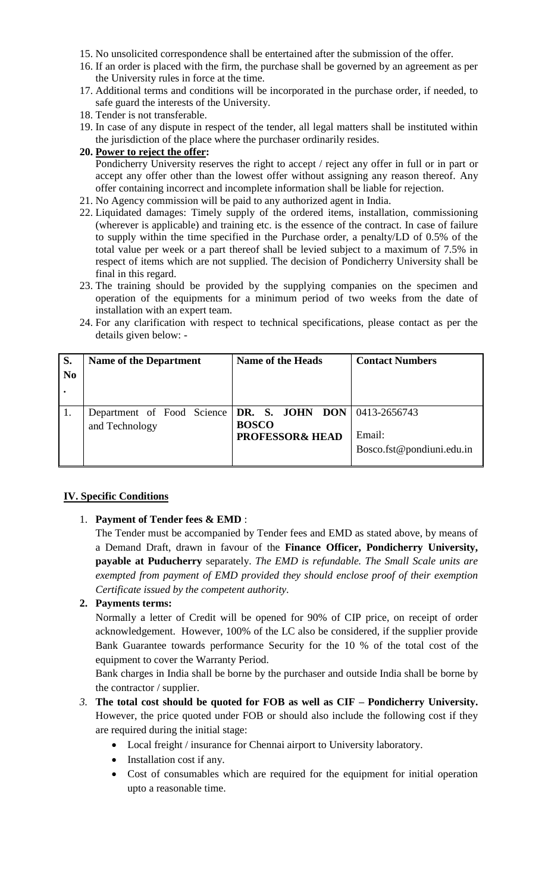- 15. No unsolicited correspondence shall be entertained after the submission of the offer.
- 16. If an order is placed with the firm, the purchase shall be governed by an agreement as per the University rules in force at the time.
- 17. Additional terms and conditions will be incorporated in the purchase order, if needed, to safe guard the interests of the University.
- 18. Tender is not transferable.
- 19. In case of any dispute in respect of the tender, all legal matters shall be instituted within the jurisdiction of the place where the purchaser ordinarily resides.

#### **20. Power to reject the offer:**

Pondicherry University reserves the right to accept / reject any offer in full or in part or accept any offer other than the lowest offer without assigning any reason thereof. Any offer containing incorrect and incomplete information shall be liable for rejection.

- 21. No Agency commission will be paid to any authorized agent in India.
- 22. Liquidated damages: Timely supply of the ordered items, installation, commissioning (wherever is applicable) and training etc. is the essence of the contract. In case of failure to supply within the time specified in the Purchase order, a penalty/LD of 0.5% of the total value per week or a part thereof shall be levied subject to a maximum of 7.5% in respect of items which are not supplied. The decision of Pondicherry University shall be final in this regard.
- 23. The training should be provided by the supplying companies on the specimen and operation of the equipments for a minimum period of two weeks from the date of installation with an expert team.
- 24. For any clarification with respect to technical specifications, please contact as per the details given below: -

| S.             | <b>Name of the Department</b>                                                       | <b>Name of the Heads</b>                   | <b>Contact Numbers</b>              |
|----------------|-------------------------------------------------------------------------------------|--------------------------------------------|-------------------------------------|
| N <sub>0</sub> |                                                                                     |                                            |                                     |
|                |                                                                                     |                                            |                                     |
|                | Department of Food Science $\text{DR}$ . S. JOHN DON 0413-2656743<br>and Technology | <b>BOSCO</b><br><b>PROFESSOR&amp; HEAD</b> | Email:<br>Bosco.fst@pondiuni.edu.in |

### **IV. Specific Conditions**

### 1. **Payment of Tender fees & EMD** :

The Tender must be accompanied by Tender fees and EMD as stated above, by means of a Demand Draft, drawn in favour of the **Finance Officer, Pondicherry University, payable at Puducherry** separately. *The EMD is refundable. The Small Scale units are exempted from payment of EMD provided they should enclose proof of their exemption Certificate issued by the competent authority.*

### **2. Payments terms:**

Normally a letter of Credit will be opened for 90% of CIP price, on receipt of order acknowledgement. However, 100% of the LC also be considered, if the supplier provide Bank Guarantee towards performance Security for the 10 % of the total cost of the equipment to cover the Warranty Period.

Bank charges in India shall be borne by the purchaser and outside India shall be borne by the contractor / supplier.

- *3.* **The total cost should be quoted for FOB as well as CIF – Pondicherry University.** However, the price quoted under FOB or should also include the following cost if they are required during the initial stage:
	- Local freight / insurance for Chennai airport to University laboratory.
	- Installation cost if any.
	- Cost of consumables which are required for the equipment for initial operation upto a reasonable time.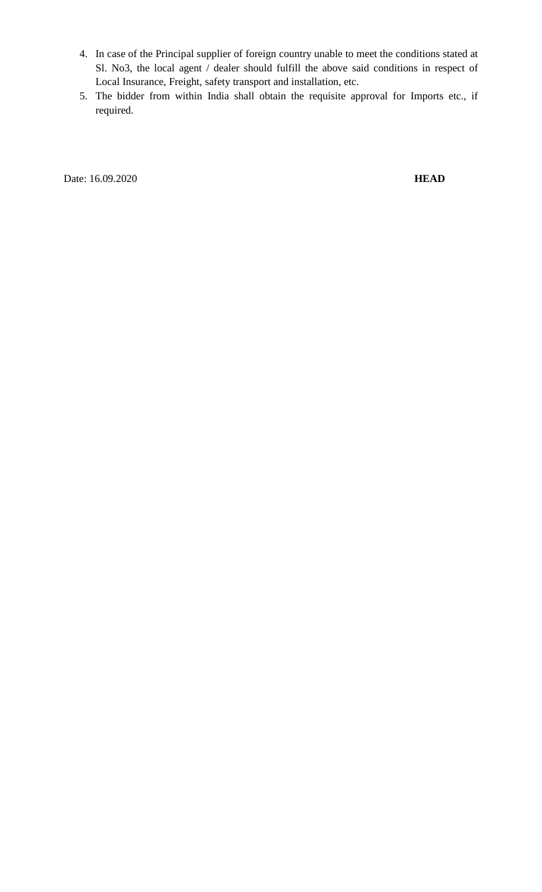- 4. In case of the Principal supplier of foreign country unable to meet the conditions stated at Sl. No3, the local agent / dealer should fulfill the above said conditions in respect of Local Insurance, Freight, safety transport and installation, etc.
- 5. The bidder from within India shall obtain the requisite approval for Imports etc., if required.

Date: 16.09.2020 **HEAD**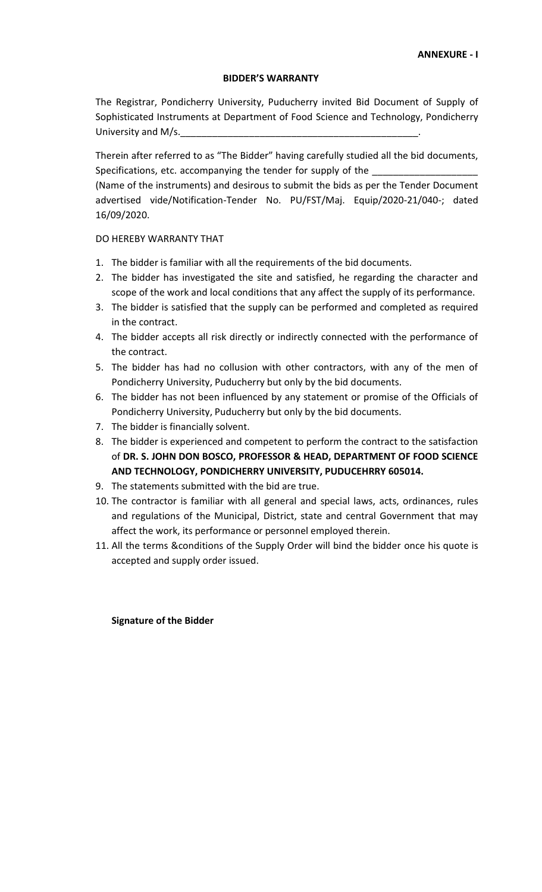#### **BIDDER'S WARRANTY**

The Registrar, Pondicherry University, Puducherry invited Bid Document of Supply of Sophisticated Instruments at Department of Food Science and Technology, Pondicherry University and M/s.

Therein after referred to as "The Bidder" having carefully studied all the bid documents, Specifications, etc. accompanying the tender for supply of the

(Name of the instruments) and desirous to submit the bids as per the Tender Document advertised vide/Notification-Tender No. PU/FST/Maj. Equip/2020-21/040-; dated 16/09/2020.

#### DO HEREBY WARRANTY THAT

- 1. The bidder is familiar with all the requirements of the bid documents.
- 2. The bidder has investigated the site and satisfied, he regarding the character and scope of the work and local conditions that any affect the supply of its performance.
- 3. The bidder is satisfied that the supply can be performed and completed as required in the contract.
- 4. The bidder accepts all risk directly or indirectly connected with the performance of the contract.
- 5. The bidder has had no collusion with other contractors, with any of the men of Pondicherry University, Puducherry but only by the bid documents.
- 6. The bidder has not been influenced by any statement or promise of the Officials of Pondicherry University, Puducherry but only by the bid documents.
- 7. The bidder is financially solvent.
- 8. The bidder is experienced and competent to perform the contract to the satisfaction of **DR. S. JOHN DON BOSCO, PROFESSOR & HEAD, DEPARTMENT OF FOOD SCIENCE AND TECHNOLOGY, PONDICHERRY UNIVERSITY, PUDUCEHRRY 605014.**
- 9. The statements submitted with the bid are true.
- 10. The contractor is familiar with all general and special laws, acts, ordinances, rules and regulations of the Municipal, District, state and central Government that may affect the work, its performance or personnel employed therein.
- 11. All the terms &conditions of the Supply Order will bind the bidder once his quote is accepted and supply order issued.

#### **Signature of the Bidder**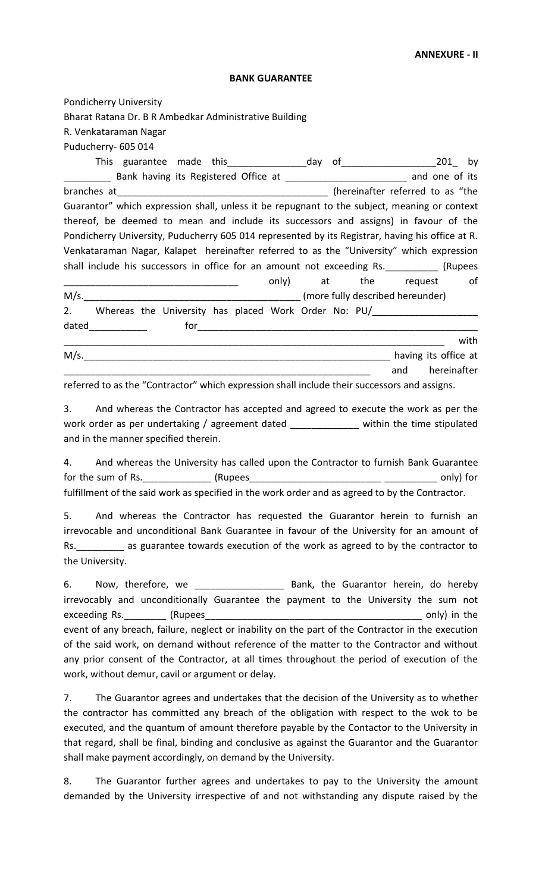#### **ANNEXURE - II**

#### **BANK GUARANTEE**

Pondicherry University Bharat Ratana Dr. B R Ambedkar Administrative Building R. Venkataraman Nagar Puducherry- 605 014 This guarantee made this\_\_\_\_\_\_\_\_\_\_\_\_\_\_\_day of\_\_\_\_\_\_\_\_\_\_\_\_\_\_\_\_\_\_201\_ by \_\_\_\_\_\_\_\_\_ Bank having its Registered Office at \_\_\_\_\_\_\_\_\_\_\_\_\_\_\_\_\_\_\_\_\_\_\_ and one of its branches at\_\_\_\_\_\_\_\_\_\_\_\_\_\_\_\_\_\_\_\_\_\_\_\_\_\_\_\_\_\_\_\_\_\_\_\_\_\_\_\_ (hereinafter referred to as "the Guarantor" which expression shall, unless it be repugnant to the subject, meaning or context thereof, be deemed to mean and include its successors and assigns) in favour of the Pondicherry University, Puducherry 605 014 represented by its Registrar, having his office at R. Venkataraman Nagar, Kalapet hereinafter referred to as the "University" which expression shall include his successors in office for an amount not exceeding Rs. [Rupees] example at the request of M/s.\_\_\_\_\_\_\_\_\_\_\_\_\_\_\_\_\_\_\_\_\_\_\_\_\_\_\_\_\_\_\_\_\_\_\_\_\_\_\_\_\_ (more fully described hereunder) 2. Whereas the University has placed Work Order No: PU/ dated\_\_\_\_\_\_\_\_\_\_\_ for\_\_\_\_\_\_\_\_\_\_\_\_\_\_\_\_\_\_\_\_\_\_\_\_\_\_\_\_\_\_\_\_\_\_\_\_\_\_\_\_\_\_\_\_\_\_\_\_\_\_\_\_\_ \_\_\_\_\_\_\_\_\_\_\_\_\_\_\_\_\_\_\_\_\_\_\_\_\_\_\_\_\_\_\_\_\_\_\_\_\_\_\_\_\_\_\_\_\_\_\_\_\_\_\_\_\_\_\_\_\_\_\_\_\_\_\_\_\_\_\_\_\_\_\_\_ with M/s. \_\_\_\_\_\_\_\_\_\_\_\_\_\_\_\_\_\_\_\_\_\_\_\_\_\_\_\_\_\_\_\_\_\_\_\_\_\_\_\_\_\_\_\_\_\_\_\_\_\_\_\_\_\_\_\_\_\_ and hereinafter

referred to as the "Contractor" which expression shall include their successors and assigns.

3. And whereas the Contractor has accepted and agreed to execute the work as per the work order as per undertaking / agreement dated \_\_\_\_\_\_\_\_\_\_\_\_\_ within the time stipulated and in the manner specified therein.

4. And whereas the University has called upon the Contractor to furnish Bank Guarantee for the sum of Rs. The sum of Rs.  $(Rupees$ fulfillment of the said work as specified in the work order and as agreed to by the Contractor.

5. And whereas the Contractor has requested the Guarantor herein to furnish an irrevocable and unconditional Bank Guarantee in favour of the University for an amount of Rs.\_\_\_\_\_\_\_\_\_ as guarantee towards execution of the work as agreed to by the contractor to the University.

6. Now, therefore, we \_\_\_\_\_\_\_\_\_\_\_\_\_\_\_\_\_ Bank, the Guarantor herein, do hereby irrevocably and unconditionally Guarantee the payment to the University the sum not exceeding Rs.\_\_\_\_\_\_\_\_ (Rupees\_\_\_\_\_\_\_\_\_\_\_\_\_\_\_\_\_\_\_\_\_\_\_\_\_\_\_\_\_\_\_\_\_\_\_\_\_\_\_\_\_ only) in the event of any breach, failure, neglect or inability on the part of the Contractor in the execution of the said work, on demand without reference of the matter to the Contractor and without any prior consent of the Contractor, at all times throughout the period of execution of the work, without demur, cavil or argument or delay.

7. The Guarantor agrees and undertakes that the decision of the University as to whether the contractor has committed any breach of the obligation with respect to the wok to be executed, and the quantum of amount therefore payable by the Contactor to the University in that regard, shall be final, binding and conclusive as against the Guarantor and the Guarantor shall make payment accordingly, on demand by the University.

8. The Guarantor further agrees and undertakes to pay to the University the amount demanded by the University irrespective of and not withstanding any dispute raised by the